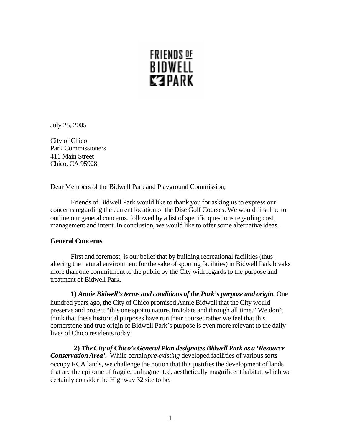# FRIENDS <u>of</u> BIDWELL **KEPARK**

July 25, 2005

City of Chico Park Commissioners 411 Main Street Chico, CA 95928

Dear Members of the Bidwell Park and Playground Commission,

Friends of Bidwell Park would like to thank you for asking us to express our concerns regarding the current location of the Disc Golf Courses. We would first like to outline our general concerns, followed by a list of specific questions regarding cost, management and intent. In conclusion, we would like to offer some alternative ideas.

## **General Concerns**

First and foremost, is our belief that by building recreational facilities (thus altering the natural environment for the sake of sporting facilities) in Bidwell Park breaks more than one commitment to the public by the City with regards to the purpose and treatment of Bidwell Park.

**1)** *Annie Bidwell's terms and conditions of the Park's purpose and origin.* One hundred years ago, the City of Chico promised Annie Bidwell that the City would preserve and protect "this one spot to nature, inviolate and through all time." We don't think that these historical purposes have run their course; rather we feel that this cornerstone and true origin of Bidwell Park's purpose is even more relevant to the daily lives of Chico residents today.

 **2)** *The City of Chico's General Plan designates Bidwell Park as a 'Resource Conservation Area'*. While certain *pre-existing* developed facilities of various sorts occupy RCA lands, we challenge the notion that this justifies the development of lands that are the epitome of fragile, unfragmented, aesthetically magnificent habitat, which we certainly consider the Highway 32 site to be.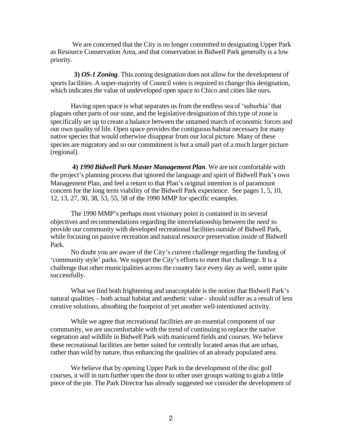We are concerned that the City is no longer committed to designating Upper Park as Resource Conservation Area, and that conservation in Bidwell Park generally is a low priority.

 **3)** *OS-1 Zoning.* This zoning designation does not allow for the development of sports facilities. A super-majority of Council votes is required to change this designation, which indicates the value of undeveloped open space to Chico and cities like ours.

Having open space is what separates us from the endless sea of 'suburbia' that plagues other parts of our state, and the legislative designation of this type of zone is specifically set up to create a balance between the untamed march of economic forces and our own quality of life. Open space provides the contiguous habitat necessary for many native species that would otherwise disappear from our local picture. Many of these species are migratory and so our commitment is but a small part of a much larger picture (regional).

**4)** *1990 Bidwell Park Master Management Plan*. We are not comfortable with the project's planning process that ignored the language and spirit of Bidwell Park's own Management Plan, and feel a return to that Plan's original intention is of paramount concern for the long term viability of the Bidwell Park experience. See pages 1, 5, 10, 12, 13, 27, 30, 38, 53, 55, 58 of the 1990 MMP for specific examples.

The 1990 MMP's perhaps most visionary point is contained in its several objectives and recommendations regarding the interrelationship between the *need* to provide our community with developed recreational facilities *outside* of Bidwell Park, while focusing on passive recreation and natural resource preservation inside of Bidwell Park.

No doubt you are aware of the City's current challenge regarding the funding of 'community style' parks. We support the City's efforts to meet that challenge. It is a challenge that other municipalities across the country face every day as well, some quite successfully.

What we find both frightening and unacceptable is the notion that Bidwell Park's natural qualities – both actual habitat and aesthetic value – should suffer as a result of less creative solutions, absorbing the footprint of yet another well-intentioned activity.

While we agree that recreational facilities are an essential component of our community, we are uncomfortable with the trend of continuing to replace the native vegetation and wildlife in Bidwell Park with manicured fields and courses. We believe these recreational facilities are better suited for centrally located areas that are urban, rather than wild by nature, thus enhancing the qualities of an already populated area.

We believe that by opening Upper Park to the development of the disc golf courses, it will in turn further open the door to other user groups waiting to grab a little piece of the pie. The Park Director has already suggested we consider the development of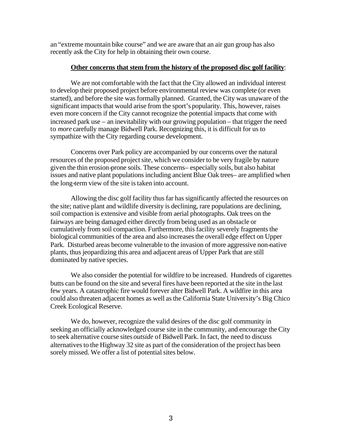an "extreme mountain bike course" and we are aware that an air gun group has also recently ask the City for help in obtaining their own course.

#### **Other concerns that stem from the history of the proposed disc golf facility**:

We are not comfortable with the fact that the City allowed an individual interest to develop their proposed project before environmental review was complete (or even started), and before the site was formally planned. Granted, the City was unaware of the significant impacts that would arise from the sport's popularity. This, however, raises even more concern if the City cannot recognize the potential impacts that come with increased park use – an inevitability with our growing population – that trigger the need to *more* carefully manage Bidwell Park. Recognizing this, it is difficult for us to sympathize with the City regarding course development.

Concerns over Park policy are accompanied by our concerns over the natural resources of the proposed project site, which we consider to be very fragile by nature given the thin erosion-prone soils. These concerns– especially soils, but also habitat issues and native plant populations including ancient Blue Oak trees– are amplified when the long-term view of the site is taken into account.

Allowing the disc golf facility thus far has significantly affected the resources on the site; native plant and wildlife diversity is declining, rare populations are declining, soil compaction is extensive and visible from aerial photographs. Oak trees on the fairways are being damaged either directly from being used as an obstacle or cumulatively from soil compaction. Furthermore, this facility severely fragments the biological communities of the area and also increases the overall edge effect on Upper Park. Disturbed areas become vulnerable to the invasion of more aggressive non-native plants, thus jeopardizing this area and adjacent areas of Upper Park that are still dominated by native species.

We also consider the potential for wildfire to be increased. Hundreds of cigarettes butts can be found on the site and several fires have been reported at the site in the last few years. A catastrophic fire would forever alter Bidwell Park. A wildfire in this area could also threaten adjacent homes as well as the California State University's Big Chico Creek Ecological Reserve.

We do, however, recognize the valid desires of the disc golf community in seeking an officially acknowledged course site in the community, and encourage the City to seek alternative course sites *outside* of Bidwell Park. In fact, the need to discuss alternatives to the Highway 32 site as part of the consideration of the project has been sorely missed. We offer a list of potential sites below.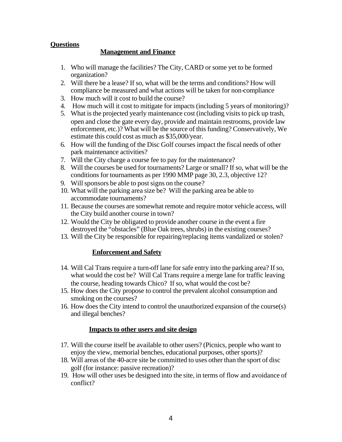## **Questions**

### **Management and Finance**

- 1. Who will manage the facilities? The City, CARD or some yet to be formed organization?
- 2. Will there be a lease? If so, what will be the terms and conditions? How will compliance be measured and what actions will be taken for non-compliance
- 3. How much will it cost to build the course?
- 4. How much will it cost to mitigate for impacts (including 5 years of monitoring)?
- 5. What is the projected yearly maintenance cost (including visits to pick up trash, open and close the gate every day, provide and maintain restrooms, provide law enforcement, etc.)? What will be the source of this funding? Conservatively, We estimate this could cost as much as \$35,000/year.
- 6. How will the funding of the Disc Golf courses impact the fiscal needs of other park maintenance activities?
- 7. Will the City charge a course fee to pay for the maintenance?
- 8. Will the courses be used for tournaments? Large or small? If so, what will be the conditions for tournaments as per 1990 MMP page 30, 2.3, objective 12?
- 9. Will sponsors be able to post signs on the course?
- 10. What will the parking area size be? Will the parking area be able to accommodate tournaments?
- 11. Because the courses are somewhat remote and require motor vehicle access, will the City build another course in town?
- 12. Would the City be obligated to provide another course in the event a fire destroyed the "obstacles" (Blue Oak trees, shrubs) in the existing courses?
- 13. Will the City be responsible for repairing/replacing items vandalized or stolen?

## **Enforcement and Safety**

- 14. Will Cal Trans require a turn-off lane for safe entry into the parking area? If so, what would the cost be? Will Cal Trans require a merge lane for traffic leaving the course, heading towards Chico? If so, what would the cost be?
- 15. How does the City propose to control the prevalent alcohol consumption and smoking on the courses?
- 16. How does the City intend to control the unauthorized expansion of the course(s) and illegal benches?

#### **Impacts to other users and site design**

- 17. Will the course itself be available to other users? (Picnics, people who want to enjoy the view, memorial benches, educational purposes, other sports)?
- 18. Will areas of the 40-acre site be committed to uses other than the sport of disc golf (for instance: passive recreation)?
- 19. How will other uses be designed into the site, in terms of flow and avoidance of conflict?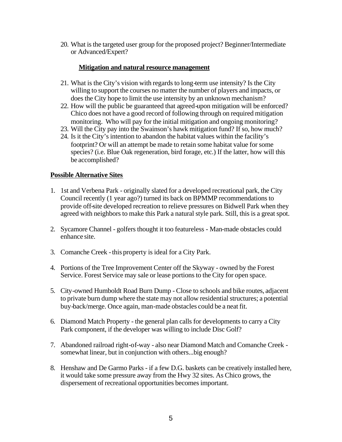20. What is the targeted user group for the proposed project? Beginner/Intermediate or Advanced/Expert?

## **Mitigation and natural resource management**

- 21. What is the City's vision with regards to long-term use intensity? Is the City willing to support the courses no matter the number of players and impacts, or does the City hope to limit the use intensity by an unknown mechanism?
- 22. How will the public be guaranteed that agreed-upon mitigation will be enforced? Chico does not have a good record of following through on required mitigation monitoring. Who will pay for the initial mitigation and ongoing monitoring?
- 23. Will the City pay into the Swainson's hawk mitigation fund? If so, how much?
- 24. Is it the City's intention to abandon the habitat values within the facility's footprint? Or will an attempt be made to retain some habitat value for some species? (i.e. Blue Oak regeneration, bird forage, etc.) If the latter, how will this be accomplished?

# **Possible Alternative Sites**

- 1. 1st and Verbena Park originally slated for a developed recreational park, the City Council recently (1 year ago?) turned its back on BPMMP recommendations to provide off-site developed recreation to relieve pressures on Bidwell Park when they agreed with neighbors to make this Park a natural style park. Still, this is a great spot.
- 2. Sycamore Channel golfers thought it too featureless Man-made obstacles could enhance site.
- 3. Comanche Creek this property is ideal for a City Park.
- 4. Portions of the Tree Improvement Center off the Skyway owned by the Forest Service. Forest Service may sale or lease portions to the City for open space.
- 5. City-owned Humboldt Road Burn Dump Close to schools and bike routes, adjacent to private burn dump where the state may not allow residential structures; a potential buy-back/merge. Once again, man-made obstacles could be a neat fit.
- 6. Diamond Match Property the general plan calls for developments to carry a City Park component, if the developer was willing to include Disc Golf?
- 7. Abandoned railroad right-of-way also near Diamond Match and Comanche Creek somewhat linear, but in conjunction with others...big enough?
- 8. Henshaw and De Garmo Parks if a few D.G. baskets can be creatively installed here, it would take some pressure away from the Hwy 32 sites. As Chico grows, the dispersement of recreational opportunities becomes important.